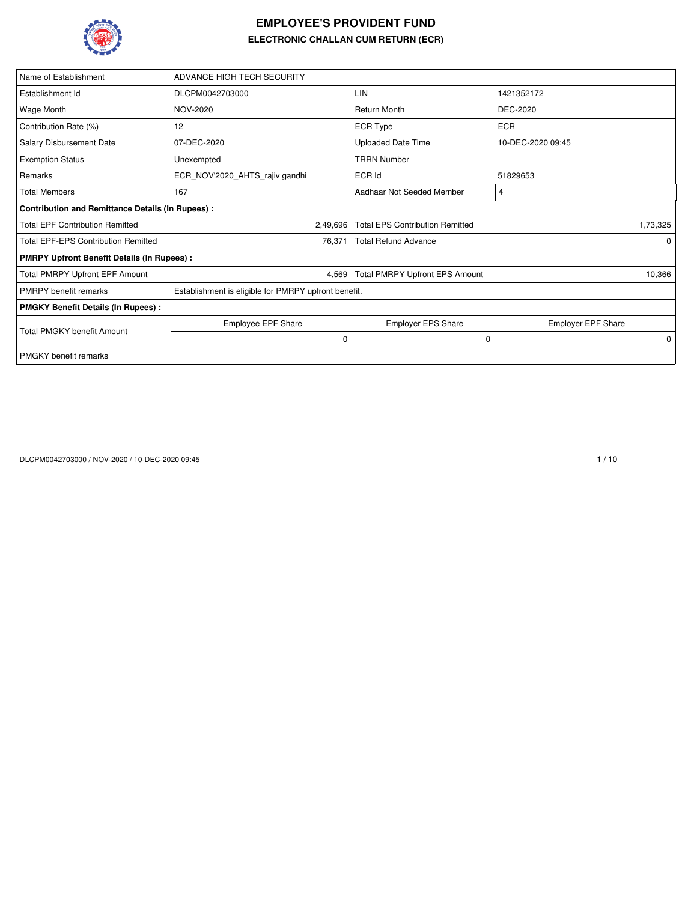

## **EMPLOYEE'S PROVIDENT FUND ELECTRONIC CHALLAN CUM RETURN (ECR)**

| Name of Establishment                                   | ADVANCE HIGH TECH SECURITY                           |                                        |                           |
|---------------------------------------------------------|------------------------------------------------------|----------------------------------------|---------------------------|
| Establishment Id                                        | DLCPM0042703000                                      | LIN                                    | 1421352172                |
| Wage Month                                              | NOV-2020                                             | <b>Return Month</b>                    | DEC-2020                  |
| Contribution Rate (%)                                   | 12                                                   | ECR Type                               | <b>ECR</b>                |
| Salary Disbursement Date                                | 07-DEC-2020                                          | <b>Uploaded Date Time</b>              | 10-DEC-2020 09:45         |
| <b>Exemption Status</b>                                 | Unexempted                                           | <b>TRRN Number</b>                     |                           |
| Remarks                                                 | ECR_NOV'2020_AHTS_rajiv gandhi                       | ECR Id                                 | 51829653                  |
| <b>Total Members</b>                                    | 167                                                  | Aadhaar Not Seeded Member              | 4                         |
| <b>Contribution and Remittance Details (In Rupees):</b> |                                                      |                                        |                           |
| <b>Total EPF Contribution Remitted</b>                  | 2,49,696                                             | <b>Total EPS Contribution Remitted</b> | 1,73,325                  |
| <b>Total EPF-EPS Contribution Remitted</b>              | 76,371                                               | <b>Total Refund Advance</b>            | 0                         |
| <b>PMRPY Upfront Benefit Details (In Rupees):</b>       |                                                      |                                        |                           |
| <b>Total PMRPY Upfront EPF Amount</b>                   | 4,569                                                | <b>Total PMRPY Upfront EPS Amount</b>  | 10,366                    |
| <b>PMRPY</b> benefit remarks                            | Establishment is eligible for PMRPY upfront benefit. |                                        |                           |
| <b>PMGKY Benefit Details (In Rupees):</b>               |                                                      |                                        |                           |
| <b>Total PMGKY benefit Amount</b>                       | <b>Employee EPF Share</b>                            | <b>Employer EPS Share</b>              | <b>Employer EPF Share</b> |
|                                                         | 0                                                    | 0                                      | 0                         |
| <b>PMGKY</b> benefit remarks                            |                                                      |                                        |                           |

DLCPM0042703000 / NOV-2020 / 10-DEC-2020 09:45 1 / 10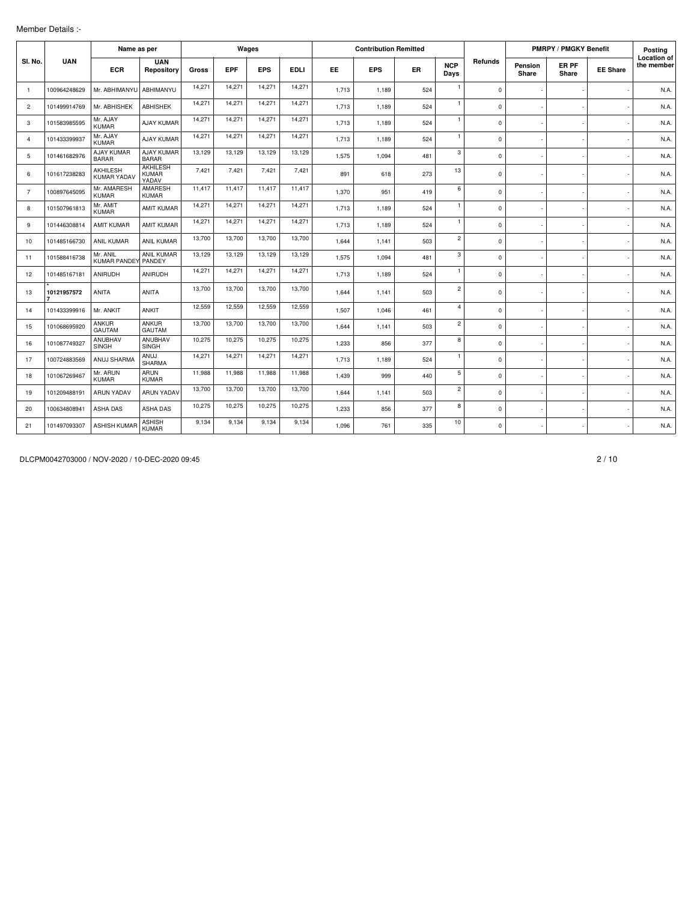## Member Details :-

|                |              | Name as per                       |                                          |        |            | Wages      |             |       | <b>Contribution Remitted</b> |           |                    |             |                  | <b>PMRPY / PMGKY Benefit</b> |                 | Posting                          |
|----------------|--------------|-----------------------------------|------------------------------------------|--------|------------|------------|-------------|-------|------------------------------|-----------|--------------------|-------------|------------------|------------------------------|-----------------|----------------------------------|
| SI. No.        | <b>UAN</b>   | <b>ECR</b>                        | <b>UAN</b><br>Repository                 | Gross  | <b>EPF</b> | <b>EPS</b> | <b>EDLI</b> | EE.   | <b>EPS</b>                   | <b>ER</b> | <b>NCP</b><br>Days | Refunds     | Pension<br>Share | ER PF<br>Share               | <b>EE Share</b> | <b>Location of</b><br>the member |
| $\overline{1}$ | 100964248629 | Mr. ABHIMANYU                     | ABHIMANYU                                | 14,271 | 14,271     | 14,271     | 14,271      | 1.713 | 1.189                        | 524       | $\mathbf{1}$       | $\mathbf 0$ |                  |                              |                 | N.A.                             |
| $\overline{2}$ | 101499914769 | Mr. ABHISHEK                      | <b>ABHISHEK</b>                          | 14,271 | 14,271     | 14,271     | 14,271      | 1,713 | 1,189                        | 524       | $\mathbf{1}$       | $\mathsf 0$ |                  |                              |                 | N.A.                             |
| 3              | 101583985595 | Mr. AJAY<br><b>KUMAR</b>          | <b>AJAY KUMAR</b>                        | 14,271 | 14,271     | 14,271     | 14,271      | 1,713 | 1,189                        | 524       | $\mathbf{1}$       | $\mathbf 0$ |                  |                              |                 | N.A.                             |
| $\overline{4}$ | 101433399937 | Mr. AJAY<br><b>KUMAR</b>          | <b>AJAY KUMAR</b>                        | 14,271 | 14,271     | 14,271     | 14,271      | 1.713 | 1.189                        | 524       | $\mathbf{1}$       | $\mathbf 0$ |                  |                              |                 | N.A.                             |
| 5              | 101461682976 | <b>AJAY KUMAR</b><br><b>BARAR</b> | AJAY KUMAR<br><b>BARAR</b>               | 13,129 | 13.129     | 13,129     | 13,129      | 1,575 | 1,094                        | 481       | 3                  | $\mathbf 0$ |                  |                              |                 | N.A.                             |
| 6              | 101617238283 | AKHILESH<br>KUMAR YADAV           | <b>AKHILESH</b><br><b>KUMAR</b><br>YADAV | 7,421  | 7,421      | 7,421      | 7,421       | 891   | 618                          | 273       | 13                 | $\mathbf 0$ |                  |                              |                 | N.A.                             |
| $\overline{7}$ | 100897645095 | Mr. AMARESH<br><b>KUMAR</b>       | AMARESH<br><b>KUMAR</b>                  | 11,417 | 11,417     | 11,417     | 11,417      | 1,370 | 951                          | 419       | 6                  | $\mathbf 0$ |                  |                              |                 | N.A.                             |
| 8              | 101507961813 | Mr. AMIT<br><b>KUMAR</b>          | <b>AMIT KUMAR</b>                        | 14,271 | 14,271     | 14,271     | 14,271      | 1.713 | 1.189                        | 524       | $\mathbf{1}$       | $\mathbf 0$ |                  |                              |                 | N.A.                             |
| 9              | 101446308814 | <b>AMIT KUMAR</b>                 | <b>AMIT KUMAR</b>                        | 14,271 | 14,271     | 14,271     | 14,271      | 1.713 | 1.189                        | 524       | $\mathbf{1}$       | $\mathbf 0$ |                  |                              |                 | N.A.                             |
| 10             | 101485166730 | <b>ANIL KUMAR</b>                 | <b>ANIL KUMAR</b>                        | 13,700 | 13,700     | 13,700     | 13,700      | 1.644 | 1.141                        | 503       | $\overline{c}$     | $\mathbf 0$ |                  |                              |                 | N.A.                             |
| 11             | 101588416738 | Mr. ANIL<br><b>KUMAR PANDEY</b>   | <b>ANIL KUMAR</b><br>PANDEY              | 13.129 | 13.129     | 13,129     | 13,129      | 1,575 | 1,094                        | 481       | 3                  | $\Omega$    |                  |                              |                 | N.A.                             |
| 12             | 101485167181 | ANIRUDH                           | ANIRUDH                                  | 14,271 | 14,271     | 14,271     | 14,271      | 1,713 | 1,189                        | 524       | $\mathbf{1}$       | $\mathbf 0$ |                  |                              |                 | N.A.                             |
| 13             | 10121957572  | <b>ANITA</b>                      | ANITA                                    | 13,700 | 13,700     | 13,700     | 13,700      | 1,644 | 1,141                        | 503       | $\overline{c}$     | $\mathbf 0$ |                  |                              |                 | N.A.                             |
| 14             | 101433399916 | Mr. ANKIT                         | <b>ANKIT</b>                             | 12,559 | 12,559     | 12,559     | 12,559      | 1.507 | 1.046                        | 461       | 4                  | $\mathbf 0$ |                  |                              |                 | N.A.                             |
| 15             | 101068695920 | <b>ANKUR</b><br><b>GAUTAM</b>     | <b>ANKUR</b><br><b>GAUTAM</b>            | 13,700 | 13,700     | 13,700     | 13,700      | 1.644 | 1,141                        | 503       | $\overline{c}$     | $\mathbf 0$ |                  |                              |                 | N.A.                             |
| 16             | 101087749327 | ANUBHAV<br><b>SINGH</b>           | <b>ANUBHAV</b><br><b>SINGH</b>           | 10.275 | 10.275     | 10,275     | 10,275      | 1.233 | 856                          | 377       | 8                  | $\mathbf 0$ |                  |                              |                 | N.A.                             |
| 17             | 100724883569 | ANUJ SHARMA                       | ANUJ<br><b>SHARMA</b>                    | 14,271 | 14,271     | 14,271     | 14,271      | 1,713 | 1,189                        | 524       | $\mathbf{1}$       | $\mathbf 0$ |                  |                              |                 | N.A.                             |
| 18             | 101067269467 | Mr. ARUN<br><b>KUMAR</b>          | ARUN<br><b>KUMAR</b>                     | 11.988 | 11.988     | 11.988     | 11,988      | 1,439 | 999                          | 440       | 5                  | $\mathbf 0$ |                  |                              |                 | N.A.                             |
| 19             | 101209488191 | <b>ARUN YADAV</b>                 | <b>ARUN YADAV</b>                        | 13,700 | 13,700     | 13,700     | 13,700      | 1,644 | 1.141                        | 503       | $\overline{c}$     | $\mathbf 0$ |                  |                              |                 | N.A.                             |
| 20             | 100634808941 | <b>ASHA DAS</b>                   | ASHA DAS                                 | 10,275 | 10,275     | 10,275     | 10,275      | 1,233 | 856                          | 377       | 8                  | $\mathsf 0$ |                  |                              |                 | N.A.                             |
| 21             | 101497093307 | <b>ASHISH KUMAR</b>               | <b>ASHISH</b><br><b>KUMAR</b>            | 9,134  | 9,134      | 9,134      | 9,134       | 1.096 | 761                          | 335       | 10                 | $\mathbf 0$ |                  |                              |                 | N.A.                             |

DLCPM0042703000 / NOV-2020 / 10-DEC-2020 09:45 2 / 10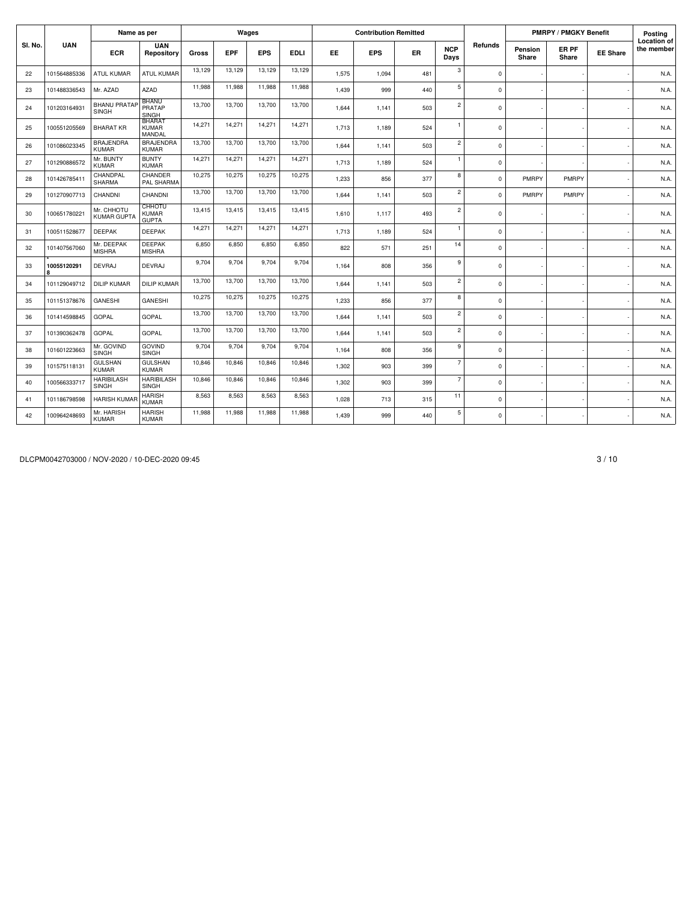|         |                  | Name as per                       |                                               |        |            | Wages      |             |       | <b>Contribution Remitted</b> |           |                    |              |                  | <b>PMRPY / PMGKY Benefit</b> |                 | Posting                          |
|---------|------------------|-----------------------------------|-----------------------------------------------|--------|------------|------------|-------------|-------|------------------------------|-----------|--------------------|--------------|------------------|------------------------------|-----------------|----------------------------------|
| SI. No. | <b>UAN</b>       | <b>ECR</b>                        | <b>UAN</b><br>Repository                      | Gross  | <b>EPF</b> | <b>EPS</b> | <b>EDLI</b> | EE    | <b>EPS</b>                   | <b>ER</b> | <b>NCP</b><br>Days | Refunds      | Pension<br>Share | ER PF<br>Share               | <b>EE Share</b> | <b>Location of</b><br>the member |
| 22      | 101564885336     | <b>ATUL KUMAR</b>                 | <b>ATUL KUMAR</b>                             | 13,129 | 13,129     | 13,129     | 13,129      | 1,575 | 1.094                        | 481       | 3                  | $\mathbf 0$  |                  |                              |                 | N.A.                             |
| 23      | 101488336543     | Mr. AZAD                          | AZAD                                          | 11,988 | 11,988     | 11,988     | 11,988      | 1,439 | 999                          | 440       | 5                  | $\mathbf 0$  |                  |                              |                 | N.A.                             |
| 24      | 101203164931     | <b>BHANU PRATAF</b><br>SINGH      | <b>BHANU</b><br>PRATAP<br>SINGH               | 13,700 | 13,700     | 13,700     | 13,700      | 1.644 | 1.141                        | 503       | $\overline{c}$     | $\mathbf 0$  |                  |                              |                 | N.A.                             |
| 25      | 100551205569     | <b>BHARAT KR</b>                  | <b>BHARAT</b><br><b>KUMAR</b><br>MANDAL       | 14,271 | 14,271     | 14,271     | 14,271      | 1.713 | 1.189                        | 524       | $\mathbf{1}$       | $\mathbf 0$  |                  |                              |                 | N.A.                             |
| 26      | 101086023345     | <b>BRAJENDRA</b><br><b>KUMAR</b>  | BRAJENDRA<br><b>KUMAR</b>                     | 13,700 | 13,700     | 13,700     | 13,700      | 1,644 | 1,141                        | 503       | $\overline{c}$     | $\mathbf 0$  |                  |                              |                 | N.A.                             |
| 27      | 101290886572     | Mr. BUNTY<br><b>KUMAR</b>         | <b>BUNTY</b><br><b>KUMAR</b>                  | 14.271 | 14.271     | 14,271     | 14,271      | 1.713 | 1,189                        | 524       | $\mathbf{1}$       | $\mathbf 0$  |                  |                              |                 | N.A.                             |
| 28      | 101426785411     | CHANDPAL<br><b>SHARMA</b>         | CHANDER<br>PAL SHARMA                         | 10,275 | 10,275     | 10,275     | 10,275      | 1,233 | 856                          | 377       | 8                  | $\mathbf{0}$ | PMRPY            | PMRPY                        |                 | N.A.                             |
| 29      | 101270907713     | CHANDNI                           | CHANDNI                                       | 13,700 | 13,700     | 13,700     | 13,700      | 1.644 | 1.141                        | 503       | $\mathbf{2}$       | $\mathbf 0$  | PMRPY            | PMRPY                        |                 | N.A.                             |
| 30      | 100651780221     | Mr. CHHOTU<br><b>KUMAR GUPTA</b>  | <b>CHHOTU</b><br><b>KUMAR</b><br><b>GUPTA</b> | 13,415 | 13,415     | 13,415     | 13,415      | 1.610 | 1.117                        | 493       | $\overline{c}$     | $\mathbf 0$  |                  |                              |                 | N.A.                             |
| 31      | 100511528677     | <b>DEEPAK</b>                     | <b>DEEPAK</b>                                 | 14,271 | 14,271     | 14,271     | 14,271      | 1.713 | 1,189                        | 524       | $\mathbf{1}$       | $\mathbf 0$  |                  |                              |                 | N.A.                             |
| 32      | 101407567060     | Mr. DEEPAK<br><b>MISHRA</b>       | <b>DEEPAK</b><br><b>MISHRA</b>                | 6.850  | 6.850      | 6.850      | 6,850       | 822   | 571                          | 251       | 14                 | $\mathbf 0$  |                  |                              |                 | N.A.                             |
| 33      | 10055120291<br>R | <b>DEVRAJ</b>                     | <b>DEVRAJ</b>                                 | 9,704  | 9,704      | 9,704      | 9,704       | 1,164 | 808                          | 356       | 9                  | $\mathsf 0$  |                  |                              |                 | N.A.                             |
| 34      | 101129049712     | <b>DILIP KUMAR</b>                | <b>DILIP KUMAR</b>                            | 13,700 | 13,700     | 13,700     | 13,700      | 1.644 | 1.141                        | 503       | $\overline{2}$     | $^{\circ}$   |                  |                              |                 | N.A.                             |
| 35      | 101151378676     | <b>GANESHI</b>                    | GANESHI                                       | 10,275 | 10,275     | 10,275     | 10,275      | 1,233 | 856                          | 377       | 8                  | $\mathbf 0$  |                  |                              |                 | N.A.                             |
| 36      | 101414598845     | <b>GOPAL</b>                      | <b>GOPAL</b>                                  | 13,700 | 13,700     | 13,700     | 13,700      | 1,644 | 1,141                        | 503       | $\overline{c}$     | $\mathbf 0$  |                  |                              |                 | N.A.                             |
| 37      | 101390362478     | <b>GOPAL</b>                      | GOPAL                                         | 13,700 | 13,700     | 13,700     | 13,700      | 1.644 | 1.141                        | 503       | $\mathbf{2}$       | $\mathbf 0$  |                  |                              |                 | N.A.                             |
| 38      | 101601223663     | Mr. GOVIND<br><b>SINGH</b>        | <b>GOVIND</b><br>SINGH                        | 9,704  | 9.704      | 9,704      | 9,704       | 1,164 | 808                          | 356       | 9                  | $\mathbf 0$  |                  |                              |                 | N.A.                             |
| 39      | 101575118131     | <b>GULSHAN</b><br>KUMAR           | <b>GULSHAN</b><br><b>KUMAR</b>                | 10,846 | 10,846     | 10,846     | 10,846      | 1.302 | 903                          | 399       | $\overline{7}$     | $\mathbf 0$  |                  |                              |                 | N.A.                             |
| 40      | 100566333717     | <b>HARIBILASH</b><br><b>SINGH</b> | <b>HARIBILASH</b><br>SINGH                    | 10,846 | 10,846     | 10,846     | 10,846      | 1,302 | 903                          | 399       | $\overline{7}$     | $\mathbf 0$  |                  |                              |                 | N.A.                             |
| 41      | 101186798598     | <b>HARISH KUMAR</b>               | <b>HARISH</b><br><b>KUMAR</b>                 | 8.563  | 8.563      | 8,563      | 8,563       | 1,028 | 713                          | 315       | 11                 | $\mathbf 0$  |                  |                              |                 | N.A.                             |
| 42      | 100964248693     | Mr. HARISH<br>KUMAR               | <b>HARISH</b><br><b>KUMAR</b>                 | 11,988 | 11,988     | 11,988     | 11,988      | 1,439 | 999                          | 440       | 5                  | $\mathbf 0$  |                  |                              |                 | N.A.                             |

DLCPM0042703000 / NOV-2020 / 10-DEC-2020 09:45 3 / 10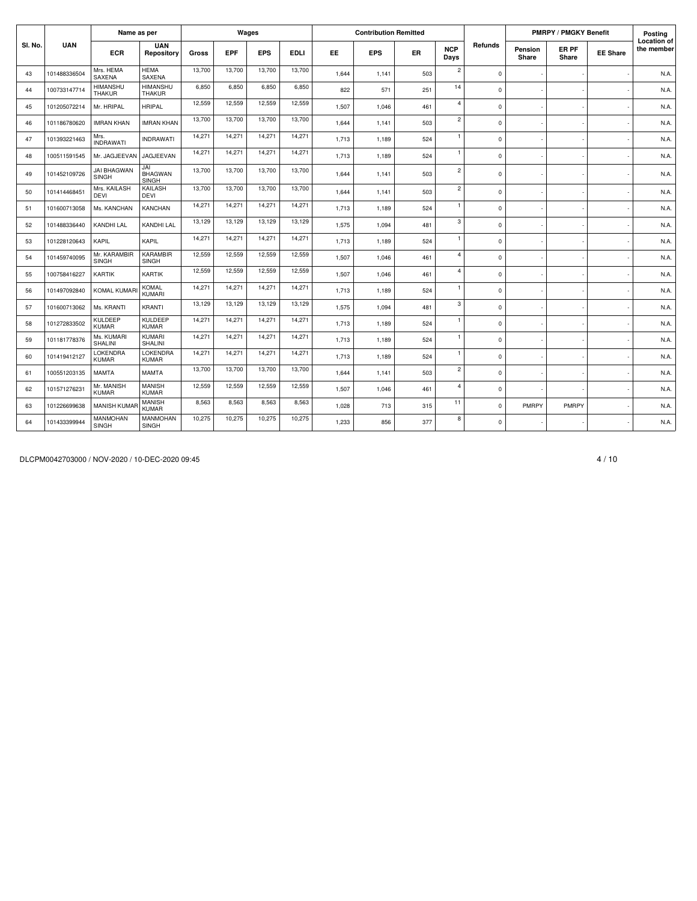|         |              | Name as per                        |                                  |        |            | Wages      |             |           | <b>Contribution Remitted</b> |           |                    |             |                         | <b>PMRPY / PMGKY Benefit</b> |                 | Posting                          |
|---------|--------------|------------------------------------|----------------------------------|--------|------------|------------|-------------|-----------|------------------------------|-----------|--------------------|-------------|-------------------------|------------------------------|-----------------|----------------------------------|
| SI. No. | <b>UAN</b>   | <b>ECR</b>                         | <b>UAN</b><br>Repository         | Gross  | <b>EPF</b> | <b>EPS</b> | <b>EDLI</b> | <b>EE</b> | <b>EPS</b>                   | <b>ER</b> | <b>NCP</b><br>Days | Refunds     | <b>Pension</b><br>Share | ER PF<br>Share               | <b>EE Share</b> | <b>Location of</b><br>the member |
| 43      | 101488336504 | Mrs. HEMA<br>SAXENA                | <b>HEMA</b><br><b>SAXENA</b>     | 13,700 | 13,700     | 13,700     | 13,700      | 1.644     | 1,141                        | 503       | $\overline{c}$     | $\mathbf 0$ |                         |                              |                 | N.A.                             |
| 44      | 100733147714 | <b>HIMANSHU</b><br><b>THAKUR</b>   | <b>HIMANSHU</b><br><b>THAKUR</b> | 6,850  | 6.850      | 6,850      | 6,850       | 822       | 571                          | 251       | 14                 | $\Omega$    |                         |                              |                 | N.A.                             |
| 45      | 101205072214 | Mr. HRIPAL                         | <b>HRIPAL</b>                    | 12,559 | 12.559     | 12.559     | 12,559      | 1.507     | 1.046                        | 461       | $\overline{4}$     | $\mathbf 0$ |                         |                              |                 | N.A.                             |
| 46      | 101186780620 | <b>IMRAN KHAN</b>                  | <b>IMRAN KHAN</b>                | 13,700 | 13,700     | 13,700     | 13,700      | 1,644     | 1,141                        | 503       | $\overline{c}$     | $\mathbf 0$ |                         |                              |                 | N.A.                             |
| 47      | 101393221463 | Mrs.<br><b>INDRAWATI</b>           | <b>INDRAWATI</b>                 | 14,271 | 14,271     | 14,271     | 14,271      | 1,713     | 1,189                        | 524       | $\mathbf{1}$       | $\mathbf 0$ |                         |                              |                 | N.A.                             |
| 48      | 100511591545 | Mr. JAGJEEVAN                      | JAGJEEVAN                        | 14,271 | 14,271     | 14,271     | 14,271      | 1,713     | 1,189                        | 524       | 1                  | $\mathbf 0$ |                         |                              |                 | N.A.                             |
| 49      | 101452109726 | <b>JAI BHAGWAN</b><br><b>SINGH</b> | JAI<br><b>BHAGWAN</b><br>SINGH   | 13,700 | 13,700     | 13,700     | 13,700      | 1.644     | 1.141                        | 503       | $\overline{c}$     | $\mathbf 0$ |                         |                              |                 | N.A.                             |
| 50      | 101414468451 | Mrs. KAILASH<br><b>DEVI</b>        | <b>KAILASH</b><br><b>DEVI</b>    | 13,700 | 13,700     | 13,700     | 13,700      | 1.644     | 1.141                        | 503       | $\overline{2}$     | $\mathbf 0$ |                         |                              |                 | N.A.                             |
| 51      | 101600713058 | Ms. KANCHAN                        | <b>KANCHAN</b>                   | 14.271 | 14.271     | 14.271     | 14,271      | 1.713     | 1.189                        | 524       | $\mathbf{1}$       | $\mathbf 0$ |                         |                              |                 | N.A.                             |
| 52      | 101488336440 | KANDHI LAL                         | KANDHI LAL                       | 13,129 | 13,129     | 13,129     | 13,129      | 1,575     | 1,094                        | 481       | 3                  | $\mathbf 0$ |                         |                              |                 | N.A.                             |
| 53      | 101228120643 | KAPIL                              | <b>KAPIL</b>                     | 14,271 | 14,271     | 14,271     | 14,271      | 1,713     | 1,189                        | 524       | $\mathbf{1}$       | $\Omega$    |                         |                              |                 | N.A.                             |
| 54      | 101459740095 | Mr. KARAMBIR<br><b>SINGH</b>       | KARAMBIR<br>SINGH                | 12,559 | 12,559     | 12,559     | 12,559      | 1,507     | 1,046                        | 461       | $\overline{4}$     | $\mathbf 0$ |                         |                              |                 | N.A.                             |
| 55      | 100758416227 | KARTIK                             | <b>KARTIK</b>                    | 12,559 | 12.559     | 12.559     | 12,559      | 1,507     | 1.046                        | 461       | $\overline{4}$     | $\Omega$    |                         |                              |                 | N.A.                             |
| 56      | 101497092840 | <b>KOMAL KUMARI</b>                | <b>KOMAL</b><br>KUMARI           | 14,271 | 14,271     | 14,271     | 14,271      | 1.713     | 1.189                        | 524       | $\mathbf{1}$       | $\mathbf 0$ |                         |                              |                 | N.A.                             |
| 57      | 101600713062 | Ms. KRANTI                         | KRANTI                           | 13,129 | 13,129     | 13,129     | 13,129      | 1.575     | 1.094                        | 481       | 3                  | $\mathbf 0$ |                         |                              |                 | N.A.                             |
| 58      | 101272833502 | <b>KULDEEP</b><br><b>KUMAR</b>     | <b>KULDEEP</b><br><b>KUMAR</b>   | 14,271 | 14,271     | 14,271     | 14,271      | 1,713     | 1,189                        | 524       | $\mathbf{1}$       | $\mathbf 0$ |                         |                              |                 | N.A.                             |
| 59      | 101181778376 | Ms. KUMARI<br><b>SHALINI</b>       | KUMARI<br><b>SHALINI</b>         | 14,271 | 14,271     | 14,271     | 14,271      | 1,713     | 1,189                        | 524       | $\mathbf{1}$       | $\mathbf 0$ |                         |                              |                 | N.A.                             |
| 60      | 101419412127 | <b>LOKENDRA</b><br><b>KUMAR</b>    | <b>LOKENDRA</b><br><b>KUMAR</b>  | 14,271 | 14,271     | 14,271     | 14,271      | 1,713     | 1,189                        | 524       | $\mathbf{1}$       | $\mathbf 0$ |                         |                              |                 | N.A.                             |
| 61      | 100551203135 | <b>MAMTA</b>                       | <b>MAMTA</b>                     | 13,700 | 13.700     | 13,700     | 13,700      | 1.644     | 1.141                        | 503       | $\overline{c}$     | $\Omega$    |                         |                              |                 | N.A.                             |
| 62      | 101571276231 | Mr. MANISH<br><b>KUMAR</b>         | <b>MANISH</b><br><b>KUMAR</b>    | 12,559 | 12.559     | 12,559     | 12,559      | 1,507     | 1.046                        | 461       | $\overline{4}$     | $\mathbf 0$ |                         |                              |                 | N.A.                             |
| 63      | 101226699638 | <b>MANISH KUMAR</b>                | <b>MANISH</b><br><b>KUMAR</b>    | 8,563  | 8,563      | 8,563      | 8,563       | 1,028     | 713                          | 315       | 11                 | $\mathbf 0$ | PMRPY                   | PMRPY                        |                 | N.A.                             |
| 64      | 101433399944 | <b>MANMOHAN</b><br><b>SINGH</b>    | MANMOHAN<br><b>SINGH</b>         | 10,275 | 10,275     | 10,275     | 10,275      | 1,233     | 856                          | 377       | 8                  | $\mathbf 0$ |                         |                              |                 | N.A.                             |

DLCPM0042703000 / NOV-2020 / 10-DEC-2020 09:45 4 / 10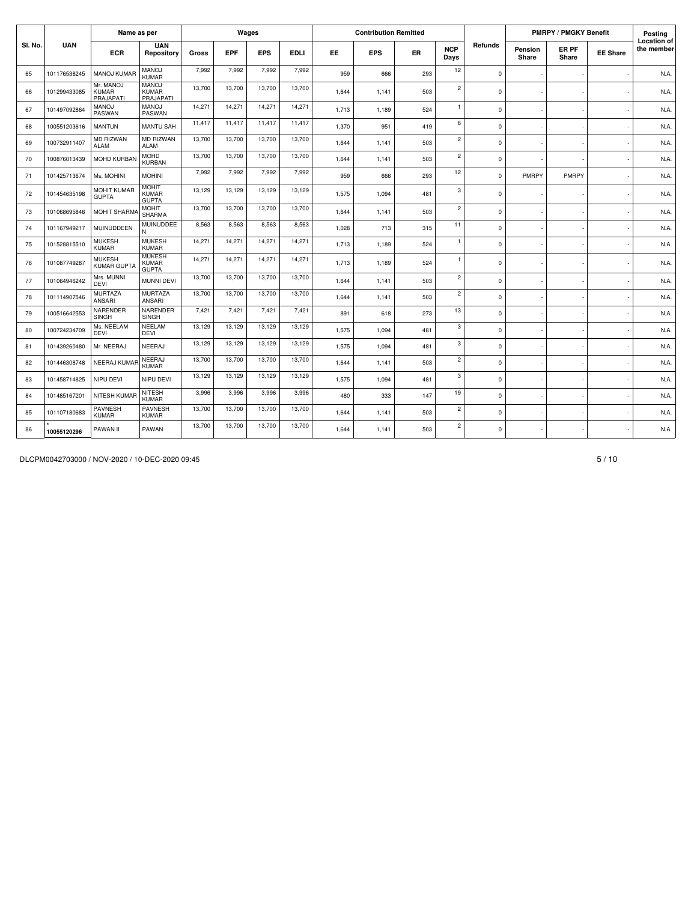|         |              | Name as per                            |                                               |        |            | Wages      |             |           | <b>Contribution Remitted</b> |           |                    |             |                  | <b>PMRPY / PMGKY Benefit</b> |                 | Posting                          |
|---------|--------------|----------------------------------------|-----------------------------------------------|--------|------------|------------|-------------|-----------|------------------------------|-----------|--------------------|-------------|------------------|------------------------------|-----------------|----------------------------------|
| SI. No. | <b>UAN</b>   | <b>ECR</b>                             | <b>UAN</b><br>Repository                      | Gross  | <b>EPF</b> | <b>EPS</b> | <b>EDLI</b> | <b>EE</b> | <b>EPS</b>                   | <b>ER</b> | <b>NCP</b><br>Days | Refunds     | Pension<br>Share | ER PF<br>Share               | <b>EE Share</b> | <b>Location of</b><br>the member |
| 65      | 101176538245 | <b>MANOJ KUMAR</b>                     | <b>MANOJ</b><br><b>KUMAR</b>                  | 7.992  | 7.992      | 7,992      | 7.992       | 959       | 666                          | 293       | 12                 | $\mathbf 0$ |                  |                              |                 | N.A.                             |
| 66      | 101299433085 | Mr. MANOJ<br><b>KUMAR</b><br>PRAJAPATI | <b>MANOJ</b><br><b>KUMAR</b><br>PRAJAPATI     | 13,700 | 13,700     | 13,700     | 13,700      | 1,644     | 1.141                        | 503       | $\overline{2}$     | $\Omega$    |                  |                              |                 | N.A.                             |
| 67      | 101497092864 | <b>MANOJ</b><br>PASWAN                 | <b>MANOJ</b><br>PASWAN                        | 14,271 | 14,271     | 14,271     | 14,271      | 1,713     | 1,189                        | 524       | $\mathbf{1}$       | $\mathbf 0$ |                  |                              |                 | N.A.                             |
| 68      | 100551203616 | <b>MANTUN</b>                          | <b>MANTU SAH</b>                              | 11,417 | 11,417     | 11,417     | 11,417      | 1,370     | 951                          | 419       | 6                  | $\mathbf 0$ |                  |                              |                 | N.A.                             |
| 69      | 100732911407 | <b>MD RIZWAN</b><br><b>ALAM</b>        | <b>MD RIZWAN</b><br><b>ALAM</b>               | 13,700 | 13,700     | 13,700     | 13,700      | 1.644     | 1,141                        | 503       | $\overline{c}$     | $\mathbf 0$ |                  |                              |                 | N.A.                             |
| 70      | 100876013439 | MOHD KURBAN                            | <b>MOHD</b><br><b>KURBAN</b>                  | 13,700 | 13,700     | 13,700     | 13,700      | 1.644     | 1,141                        | 503       | $\overline{2}$     | $\mathbf 0$ |                  |                              |                 | N.A.                             |
| 71      | 101425713674 | Ms. MOHINI                             | <b>MOHINI</b>                                 | 7,992  | 7.992      | 7.992      | 7.992       | 959       | 666                          | 293       | 12                 | $\mathbf 0$ | PMRPY            | PMRPY                        |                 | N.A.                             |
| 72      | 101454635198 | MOHIT KUMAR<br><b>GUPTA</b>            | <b>MOHIT</b><br><b>KUMAR</b><br><b>GUPTA</b>  | 13,129 | 13.129     | 13,129     | 13,129      | 1,575     | 1,094                        | 481       | 3                  | 0           |                  |                              |                 | N.A.                             |
| 73      | 101068695846 | <b>MOHIT SHARMA</b>                    | <b>MOHIT</b><br><b>SHARMA</b>                 | 13,700 | 13,700     | 13,700     | 13,700      | 1,644     | 1,141                        | 503       | $\overline{c}$     | $\mathbf 0$ |                  |                              |                 | N.A.                             |
| 74      | 101167949217 | <b>MUINUDDEEN</b>                      | MUINUDDEE<br>N                                | 8,563  | 8.563      | 8,563      | 8,563       | 1,028     | 713                          | 315       | 11                 | $\mathbf 0$ |                  |                              |                 | N.A.                             |
| 75      | 101528815510 | <b>MUKESH</b><br><b>KUMAR</b>          | <b>MUKESH</b><br><b>KUMAR</b>                 | 14,271 | 14.271     | 14,271     | 14,271      | 1,713     | 1,189                        | 524       | $\mathbf{1}$       | $\mathbf 0$ |                  |                              |                 | N.A.                             |
| 76      | 101087749287 | <b>MUKESH</b><br><b>KUMAR GUPTA</b>    | <b>MUKESH</b><br><b>KUMAR</b><br><b>GUPTA</b> | 14,271 | 14,271     | 14,271     | 14,271      | 1,713     | 1,189                        | 524       | $\mathbf{1}$       | $\Omega$    |                  |                              |                 | N.A.                             |
| 77      | 101064946242 | Mrs. MUNNI<br><b>DEVI</b>              | MUNNI DEVI                                    | 13,700 | 13.700     | 13,700     | 13,700      | 1,644     | 1,141                        | 503       | $\overline{2}$     | $\mathbf 0$ |                  |                              |                 | N.A.                             |
| 78      | 101114907546 | <b>MURTAZA</b><br>ANSARI               | <b>MURTAZA</b><br>ANSARI                      | 13,700 | 13,700     | 13,700     | 13,700      | 1,644     | 1,141                        | 503       | $\overline{c}$     | $\mathbf 0$ |                  |                              |                 | N.A.                             |
| 79      | 100516642553 | NARENDER<br><b>SINGH</b>               | NARENDER<br>SINGH                             | 7,421  | 7.421      | 7,421      | 7,421       | 891       | 618                          | 273       | 13                 | $\mathbf 0$ |                  |                              |                 | N.A.                             |
| 80      | 100724234709 | Ms. NEELAM<br><b>DEVI</b>              | <b>NEELAM</b><br><b>DEVI</b>                  | 13,129 | 13,129     | 13,129     | 13,129      | 1,575     | 1,094                        | 481       | 3                  | $\mathbf 0$ |                  |                              |                 | N.A.                             |
| 81      | 101439260480 | Mr. NEERAJ                             | <b>NEERAJ</b>                                 | 13,129 | 13.129     | 13,129     | 13,129      | 1.575     | 1.094                        | 481       | 3                  | $\mathbf 0$ |                  |                              |                 | N.A.                             |
| 82      | 101446308748 | NEERAJ KUMAF                           | NEERAJ<br><b>KUMAR</b>                        | 13,700 | 13,700     | 13,700     | 13,700      | 1,644     | 1,141                        | 503       | $\overline{c}$     | $\mathbf 0$ |                  |                              |                 | N.A.                             |
| 83      | 101458714825 | NIPU DEVI                              | NIPU DEVI                                     | 13,129 | 13,129     | 13,129     | 13,129      | 1,575     | 1,094                        | 481       | 3                  | $\mathbf 0$ |                  |                              |                 | N.A.                             |
| 84      | 101485167201 | NITESH KUMAR                           | <b>NITESH</b><br><b>KUMAR</b>                 | 3,996  | 3,996      | 3,996      | 3,996       | 480       | 333                          | 147       | 19                 | $\mathbf 0$ |                  |                              |                 | N.A.                             |
| 85      | 101107180683 | PAVNESH<br>KUMAR                       | <b>PAVNESH</b><br><b>KUMAR</b>                | 13,700 | 13,700     | 13,700     | 13,700      | 1.644     | 1.141                        | 503       | $\overline{c}$     | $\mathbf 0$ |                  |                              |                 | N.A.                             |
| 86      | 10055120296  | PAWAN II                               | PAWAN                                         | 13,700 | 13,700     | 13,700     | 13,700      | 1,644     | 1,141                        | 503       | $\overline{c}$     | $\mathbf 0$ |                  |                              |                 | N.A.                             |

DLCPM0042703000 / NOV-2020 / 10-DEC-2020 09:45 5 / 10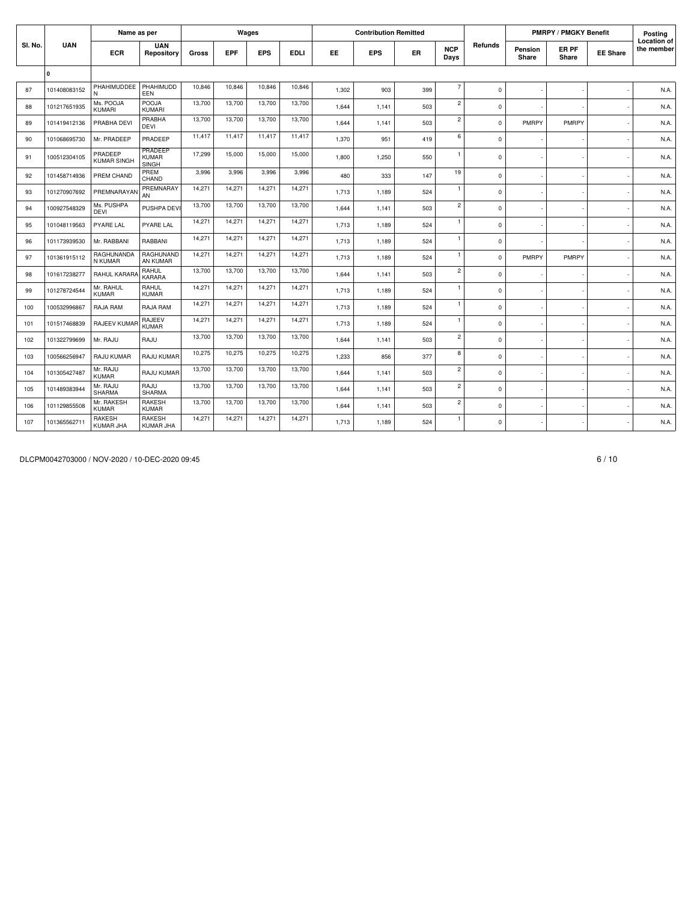|         |              | Name as per                       |                                         |        |            | Wages      |             |       | <b>Contribution Remitted</b> |     |                    |             |                  | <b>PMRPY / PMGKY Benefit</b> |                 | Posting                          |
|---------|--------------|-----------------------------------|-----------------------------------------|--------|------------|------------|-------------|-------|------------------------------|-----|--------------------|-------------|------------------|------------------------------|-----------------|----------------------------------|
| SI. No. | <b>UAN</b>   | <b>ECR</b>                        | <b>UAN</b><br>Repository                | Gross  | <b>EPF</b> | <b>EPS</b> | <b>EDLI</b> | EE.   | <b>EPS</b>                   | ER  | <b>NCP</b><br>Days | Refunds     | Pension<br>Share | ER PF<br>Share               | <b>EE Share</b> | <b>Location of</b><br>the member |
|         | $\Omega$     |                                   |                                         |        |            |            |             |       |                              |     |                    |             |                  |                              |                 |                                  |
| 87      | 101408083152 | PHAHIMUDDEE<br>N                  | PHAHIMUDD<br>EEN                        | 10.846 | 10,846     | 10,846     | 10,846      | 1,302 | 903                          | 399 | $\overline{7}$     | $\mathbf 0$ |                  |                              |                 | N.A.                             |
| 88      | 101217651935 | Ms. POOJA<br>KUMARI               | POOJA<br>KUMARI                         | 13,700 | 13,700     | 13,700     | 13,700      | 1,644 | 1,141                        | 503 | $\overline{c}$     | $\mathbf 0$ |                  |                              |                 | N.A.                             |
| 89      | 101419412136 | PRABHA DEVI                       | PRABHA<br><b>DEVI</b>                   | 13,700 | 13,700     | 13,700     | 13,700      | 1.644 | 1,141                        | 503 | $\mathbf 2$        | $\mathbf 0$ | <b>PMRPY</b>     | PMRPY                        |                 | N.A.                             |
| 90      | 101068695730 | Mr. PRADEEP                       | PRADEEP                                 | 11,417 | 11,417     | 11,417     | 11,417      | 1,370 | 951                          | 419 | 6                  | $\mathbf 0$ |                  |                              |                 | N.A.                             |
| 91      | 100512304105 | PRADEEP<br><b>KUMAR SINGH</b>     | PRADEEP<br><b>KUMAR</b><br><b>SINGH</b> | 17,299 | 15,000     | 15,000     | 15,000      | 1,800 | 1,250                        | 550 | $\overline{1}$     | $\mathbf 0$ |                  |                              |                 | N.A.                             |
| 92      | 101458714936 | PREM CHAND                        | PREM<br>CHAND                           | 3,996  | 3,996      | 3,996      | 3,996       | 480   | 333                          | 147 | 19                 | $\mathbf 0$ |                  |                              |                 | N.A.                             |
| 93      | 101270907692 | PREMNARAYAN                       | PREMNARAY<br>AN                         | 14,271 | 14,271     | 14,271     | 14,271      | 1,713 | 1,189                        | 524 | $\mathbf{1}$       | $\mathbf 0$ |                  |                              |                 | N.A.                             |
| 94      | 100927548329 | Ms. PUSHPA<br><b>DEVI</b>         | PUSHPA DEV                              | 13,700 | 13,700     | 13,700     | 13,700      | 1,644 | 1,141                        | 503 | $\overline{c}$     | $\mathsf 0$ |                  |                              |                 | N.A.                             |
| 95      | 101048119563 | PYARE LAL                         | PYARE LAL                               | 14,271 | 14,271     | 14,271     | 14,271      | 1,713 | 1,189                        | 524 | $\mathbf{1}$       | $\mathbf 0$ |                  |                              |                 | N.A.                             |
| 96      | 101173939530 | Mr. RABBANI                       | RABBANI                                 | 14,271 | 14,271     | 14,271     | 14,271      | 1,713 | 1,189                        | 524 | $\mathbf{1}$       | $\mathsf 0$ |                  |                              |                 | N.A.                             |
| 97      | 101361915112 | RAGHUNANDA<br>N KUMAR             | RAGHUNAND<br>AN KUMAR                   | 14,271 | 14,271     | 14,271     | 14,271      | 1,713 | 1,189                        | 524 | $\mathbf{1}$       | $\mathbf 0$ | PMRPY            | PMRPY                        |                 | N.A.                             |
| 98      | 101617238277 | RAHUL KARARA                      | RAHUL<br><b>KARARA</b>                  | 13,700 | 13,700     | 13,700     | 13,700      | 1,644 | 1,141                        | 503 | $\overline{c}$     | $\mathsf 0$ |                  |                              |                 | N.A.                             |
| 99      | 101278724544 | Mr. RAHUL<br><b>KUMAR</b>         | RAHUL<br><b>KUMAR</b>                   | 14,271 | 14,271     | 14,271     | 14,271      | 1,713 | 1,189                        | 524 | $\mathbf{1}$       | $\mathbf 0$ |                  |                              |                 | N.A.                             |
| 100     | 100532996867 | RAJA RAM                          | RAJA RAM                                | 14,271 | 14,271     | 14,271     | 14,271      | 1,713 | 1,189                        | 524 | $\mathbf{1}$       | $\mathsf 0$ |                  |                              |                 | N.A.                             |
| 101     | 101517468839 | RAJEEV KUMAR                      | <b>RAJEEV</b><br><b>KUMAR</b>           | 14,271 | 14,271     | 14,271     | 14,271      | 1,713 | 1,189                        | 524 | $\mathbf{1}$       | $\mathbf 0$ |                  |                              |                 | N.A.                             |
| 102     | 101322799699 | Mr. RAJU                          | RAJU                                    | 13,700 | 13,700     | 13.700     | 13,700      | 1.644 | 1.141                        | 503 | $\overline{c}$     | $\mathbf 0$ |                  |                              |                 | N.A.                             |
| 103     | 100566256947 | RAJU KUMAR                        | RAJU KUMAR                              | 10,275 | 10,275     | 10,275     | 10,275      | 1,233 | 856                          | 377 | 8                  | $\mathsf 0$ |                  |                              |                 | N.A.                             |
| 104     | 101305427487 | Mr. RAJU<br><b>KUMAR</b>          | RAJU KUMAR                              | 13,700 | 13,700     | 13,700     | 13,700      | 1.644 | 1,141                        | 503 | $\overline{c}$     | $\mathbf 0$ |                  |                              |                 | N.A.                             |
| 105     | 101489383944 | Mr. RAJU<br><b>SHARMA</b>         | RAJU<br><b>SHARMA</b>                   | 13,700 | 13,700     | 13,700     | 13,700      | 1,644 | 1,141                        | 503 | $\overline{c}$     | $\mathsf 0$ |                  |                              |                 | N.A.                             |
| 106     | 101129855508 | Mr. RAKESH<br><b>KUMAR</b>        | <b>RAKESH</b><br><b>KUMAR</b>           | 13,700 | 13,700     | 13,700     | 13,700      | 1,644 | 1,141                        | 503 | $\overline{c}$     | $\mathbf 0$ |                  |                              |                 | N.A.                             |
| 107     | 101365562711 | <b>RAKESH</b><br><b>KUMAR JHA</b> | <b>RAKESH</b><br><b>KUMAR JHA</b>       | 14,271 | 14,271     | 14,271     | 14,271      | 1,713 | 1,189                        | 524 | $\mathbf{1}$       | 0           |                  |                              |                 | N.A.                             |

DLCPM0042703000 / NOV-2020 / 10-DEC-2020 09:45 6 / 10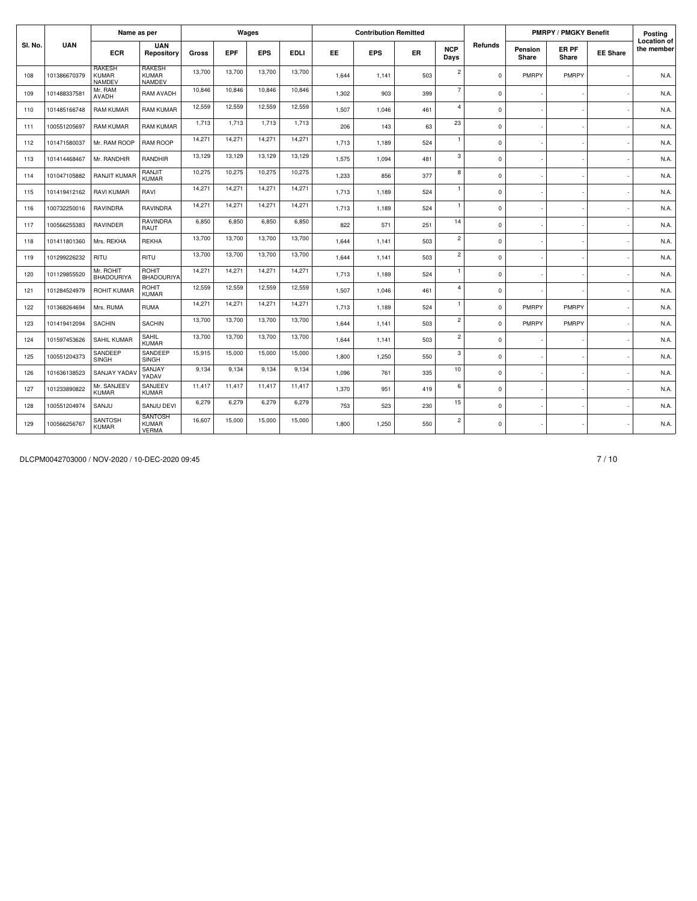|         |              | Name as per                                    |                                                |        |            | Wages      |             |           | <b>Contribution Remitted</b> |           |                    |             |                  | <b>PMRPY / PMGKY Benefit</b> |                 | Posting                          |
|---------|--------------|------------------------------------------------|------------------------------------------------|--------|------------|------------|-------------|-----------|------------------------------|-----------|--------------------|-------------|------------------|------------------------------|-----------------|----------------------------------|
| SI. No. | <b>UAN</b>   | <b>ECR</b>                                     | <b>UAN</b><br>Repository                       | Gross  | <b>EPF</b> | <b>EPS</b> | <b>EDLI</b> | <b>EE</b> | <b>EPS</b>                   | <b>ER</b> | <b>NCP</b><br>Days | Refunds     | Pension<br>Share | ER PF<br>Share               | <b>EE Share</b> | <b>Location of</b><br>the member |
| 108     | 101386670379 | <b>RAKESH</b><br><b>KUMAR</b><br><b>NAMDEV</b> | <b>RAKESH</b><br><b>KUMAR</b><br><b>NAMDEV</b> | 13,700 | 13,700     | 13,700     | 13,700      | 1,644     | 1,141                        | 503       | $\overline{c}$     | $\mathbf 0$ | PMRPY            | PMRPY                        |                 | N.A.                             |
| 109     | 101488337581 | Mr. RAM<br><b>AVADH</b>                        | RAM AVADH                                      | 10,846 | 10.846     | 10,846     | 10,846      | 1.302     | 903                          | 399       | $\overline{7}$     | $\mathbf 0$ |                  |                              |                 | N.A.                             |
| 110     | 101485166748 | <b>RAM KUMAR</b>                               | <b>RAM KUMAR</b>                               | 12,559 | 12,559     | 12,559     | 12,559      | 1.507     | 1.046                        | 461       | $\overline{4}$     | $\mathbf 0$ |                  |                              |                 | N.A.                             |
| 111     | 100551205697 | <b>RAM KUMAR</b>                               | RAM KUMAR                                      | 1,713  | 1,713      | 1,713      | 1,713       | 206       | 143                          | 63        | 23                 | $\mathbf 0$ |                  |                              |                 | N.A.                             |
| 112     | 101471580037 | Mr. RAM ROOP                                   | <b>RAM ROOP</b>                                | 14,271 | 14,271     | 14,271     | 14,271      | 1.713     | 1,189                        | 524       | $\mathbf{1}$       | $\mathbf 0$ |                  |                              |                 | N.A.                             |
| 113     | 101414468467 | Mr. RANDHIR                                    | RANDHIR                                        | 13,129 | 13.129     | 13,129     | 13,129      | 1,575     | 1,094                        | 481       | 3                  | $\mathsf 0$ |                  |                              |                 | N.A.                             |
| 114     | 101047105882 | <b>RANJIT KUMAR</b>                            | RANJIT<br><b>KUMAR</b>                         | 10,275 | 10,275     | 10,275     | 10,275      | 1.233     | 856                          | 377       | 8                  | $\mathbf 0$ |                  |                              |                 | N.A.                             |
| 115     | 101419412162 | <b>RAVI KUMAR</b>                              | RAVI                                           | 14,271 | 14,271     | 14,271     | 14,271      | 1,713     | 1,189                        | 524       | $\overline{1}$     | $\mathbf 0$ |                  |                              |                 | N.A.                             |
| 116     | 100732250016 | <b>RAVINDRA</b>                                | <b>RAVINDRA</b>                                | 14,271 | 14.271     | 14,271     | 14,271      | 1.713     | 1.189                        | 524       | $\overline{1}$     | $\mathbf 0$ |                  |                              |                 | N.A.                             |
| 117     | 100566255383 | RAVINDER                                       | RAVINDRA<br>RAUT                               | 6,850  | 6,850      | 6,850      | 6,850       | 822       | 571                          | 251       | 14                 | $\mathbf 0$ |                  |                              |                 | N.A.                             |
| 118     | 101411801360 | Mrs. REKHA                                     | <b>REKHA</b>                                   | 13,700 | 13.700     | 13,700     | 13,700      | 1.644     | 1.141                        | 503       | $\overline{c}$     | $\mathbf 0$ |                  |                              |                 | N.A.                             |
| 119     | 101299226232 | RITU                                           | RITU                                           | 13,700 | 13,700     | 13,700     | 13,700      | 1.644     | 1.141                        | 503       | $\overline{c}$     | $\mathbf 0$ |                  |                              |                 | N.A.                             |
| 120     | 101129855520 | Mr. ROHIT<br>BHADOURIYA                        | ROHIT<br><b>BHADOURIYA</b>                     | 14,271 | 14,271     | 14,271     | 14,271      | 1,713     | 1,189                        | 524       | $\mathbf{1}$       | $\mathbf 0$ |                  |                              |                 | N.A.                             |
| 121     | 101284524979 | <b>ROHIT KUMAR</b>                             | ROHIT<br><b>KUMAR</b>                          | 12,559 | 12,559     | 12,559     | 12,559      | 1.507     | 1.046                        | 461       | $\overline{4}$     | $\mathbf 0$ |                  |                              |                 | N.A.                             |
| 122     | 101368264694 | Mrs. RUMA                                      | <b>RUMA</b>                                    | 14,271 | 14,271     | 14,271     | 14,271      | 1,713     | 1,189                        | 524       | $\mathbf{1}$       | $\mathbf 0$ | PMRPY            | PMRPY                        |                 | N.A.                             |
| 123     | 101419412094 | <b>SACHIN</b>                                  | <b>SACHIN</b>                                  | 13,700 | 13,700     | 13,700     | 13,700      | 1.644     | 1.141                        | 503       | $\overline{c}$     | $\mathbf 0$ | PMRPY            | PMRPY                        |                 | N.A.                             |
| 124     | 101597453626 | SAHIL KUMAR                                    | SAHIL<br><b>KUMAR</b>                          | 13,700 | 13,700     | 13,700     | 13,700      | 1.644     | 1,141                        | 503       | $\overline{c}$     | $\mathbf 0$ |                  |                              |                 | N.A.                             |
| 125     | 100551204373 | SANDEEP<br><b>SINGH</b>                        | SANDEEP<br>SINGH                               | 15,915 | 15,000     | 15,000     | 15,000      | 1.800     | 1,250                        | 550       | 3                  | $\mathbf 0$ |                  |                              |                 | N.A.                             |
| 126     | 101636138523 | SANJAY YADAV                                   | SANJAY<br>YADAV                                | 9.134  | 9.134      | 9.134      | 9,134       | 1.096     | 761                          | 335       | 10                 | $\mathbf 0$ |                  |                              |                 | N.A.                             |
| 127     | 101233890822 | Mr. SANJEEV<br><b>KUMAR</b>                    | SANJEEV<br><b>KUMAR</b>                        | 11.417 | 11.417     | 11,417     | 11,417      | 1.370     | 951                          | 419       | 6                  | $\mathbf 0$ |                  |                              |                 | N.A.                             |
| 128     | 100551204974 | SANJU                                          | SANJU DEVI                                     | 6,279  | 6.279      | 6,279      | 6,279       | 753       | 523                          | 230       | 15                 | $\mathbf 0$ |                  |                              |                 | N.A.                             |
| 129     | 100566256767 | <b>SANTOSH</b><br><b>KUMAR</b>                 | SANTOSH<br><b>KUMAR</b><br><b>VERMA</b>        | 16,607 | 15,000     | 15,000     | 15,000      | 1,800     | 1,250                        | 550       | $\overline{c}$     | $\mathbf 0$ |                  |                              |                 | N.A.                             |

DLCPM0042703000 / NOV-2020 / 10-DEC-2020 09:45 7 / 10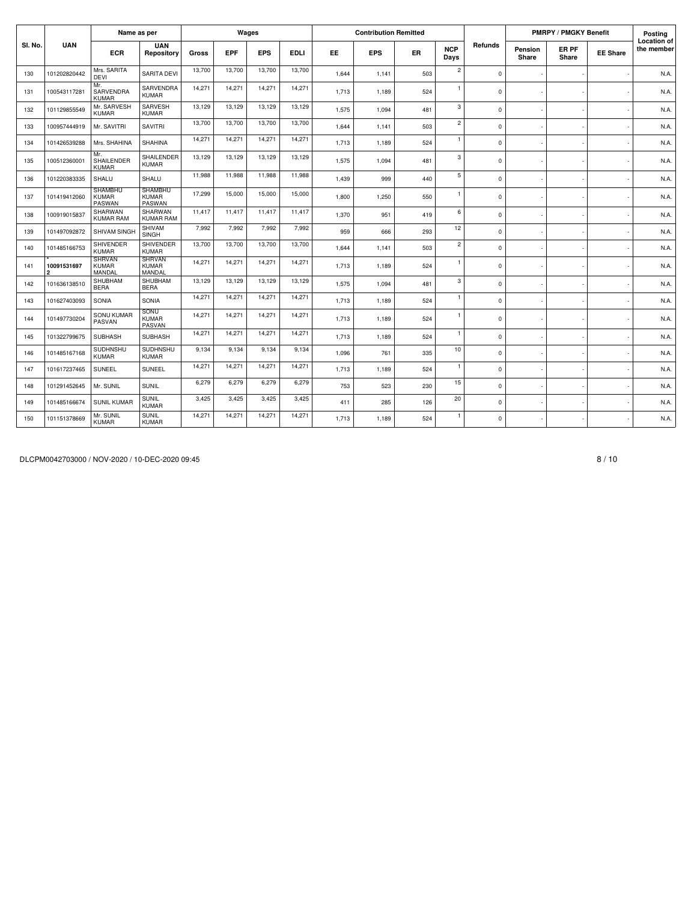|         |                               | Name as per                              |                                          |        |            | Wages      |             |           | <b>Contribution Remitted</b> |           |                    |             |                  | <b>PMRPY / PMGKY Benefit</b> |                 | Posting                          |
|---------|-------------------------------|------------------------------------------|------------------------------------------|--------|------------|------------|-------------|-----------|------------------------------|-----------|--------------------|-------------|------------------|------------------------------|-----------------|----------------------------------|
| SI. No. | <b>UAN</b>                    | <b>ECR</b>                               | <b>UAN</b><br>Repository                 | Gross  | <b>EPF</b> | <b>EPS</b> | <b>EDLI</b> | <b>EE</b> | <b>EPS</b>                   | <b>ER</b> | <b>NCP</b><br>Days | Refunds     | Pension<br>Share | ER PF<br>Share               | <b>EE Share</b> | <b>Location of</b><br>the member |
| 130     | 101202820442                  | Mrs. SARITA<br><b>DEVI</b>               | <b>SARITA DEVI</b>                       | 13,700 | 13,700     | 13,700     | 13,700      | 1,644     | 1,141                        | 503       | $\overline{c}$     | $\mathbf 0$ |                  |                              |                 | N.A.                             |
| 131     | 100543117281                  | Mr.<br>SARVENDRA<br><b>KUMAR</b>         | SARVENDRA<br><b>KUMAR</b>                | 14,271 | 14,271     | 14,271     | 14,271      | 1,713     | 1,189                        | 524       | $\mathbf{1}$       | $\mathbf 0$ |                  |                              |                 | N.A.                             |
| 132     | 101129855549                  | Mr. SARVESH<br><b>KUMAR</b>              | SARVESH<br><b>KUMAR</b>                  | 13,129 | 13,129     | 13,129     | 13,129      | 1,575     | 1,094                        | 481       | 3                  | $\mathbf 0$ |                  |                              |                 | N.A.                             |
| 133     | 100957444919                  | Mr. SAVITRI                              | <b>SAVITRI</b>                           | 13,700 | 13,700     | 13,700     | 13,700      | 1,644     | 1,141                        | 503       | $\overline{c}$     | $\mathbf 0$ |                  |                              |                 | N.A.                             |
| 134     | 101426539288                  | Mrs. SHAHINA                             | <b>SHAHINA</b>                           | 14,271 | 14.271     | 14,271     | 14,271      | 1.713     | 1.189                        | 524       | $\mathbf{1}$       | $\mathbf 0$ |                  |                              |                 | N.A.                             |
| 135     | 100512360001                  | Mr.<br>SHAILENDER<br>KUMAR               | <b>SHAILENDER</b><br><b>KUMAR</b>        | 13,129 | 13,129     | 13,129     | 13,129      | 1.575     | 1.094                        | 481       | 3                  | $\mathbf 0$ |                  |                              |                 | N.A.                             |
| 136     | 101220383335                  | SHALU                                    | SHALU                                    | 11,988 | 11.988     | 11,988     | 11,988      | 1,439     | 999                          | 440       | 5                  | $\mathbf 0$ |                  |                              |                 | N.A.                             |
| 137     | 101419412060                  | <b>SHAMBHU</b><br><b>KUMAR</b><br>PASWAN | <b>SHAMBHU</b><br><b>KUMAR</b><br>PASWAN | 17,299 | 15,000     | 15,000     | 15,000      | 1.800     | 1.250                        | 550       | $\mathbf{1}$       | $\mathbf 0$ |                  |                              |                 | N.A.                             |
| 138     | 100919015837                  | SHARWAN<br><b>KUMAR RAM</b>              | SHARWAN<br><b>KUMAR RAM</b>              | 11,417 | 11,417     | 11,417     | 11,417      | 1,370     | 951                          | 419       | 6                  | $\Omega$    |                  |                              |                 | N.A.                             |
| 139     | 101497092872                  | SHIVAM SINGH                             | SHIVAM<br>SINGH                          | 7,992  | 7.992      | 7.992      | 7,992       | 959       | 666                          | 293       | 12                 | $\Omega$    |                  |                              |                 | N.A.                             |
| 140     | 101485166753                  | <b>SHIVENDER</b><br><b>KUMAR</b>         | SHIVENDER<br><b>KUMAR</b>                | 13,700 | 13,700     | 13,700     | 13,700      | 1,644     | 1,141                        | 503       | $\mathbf 2$        | $\mathbf 0$ |                  |                              |                 | N.A.                             |
| 141     | 10091531697<br>$\overline{2}$ | <b>SHRVAN</b><br><b>KUMAR</b><br>MANDAL  | <b>SHRVAN</b><br><b>KUMAR</b><br>MANDAL  | 14,271 | 14,271     | 14,271     | 14,271      | 1,713     | 1,189                        | 524       | $\overline{1}$     | $\mathbf 0$ |                  |                              |                 | N.A.                             |
| 142     | 101636138510                  | SHUBHAM<br><b>BERA</b>                   | SHUBHAM<br><b>BERA</b>                   | 13,129 | 13,129     | 13,129     | 13,129      | 1,575     | 1,094                        | 481       | 3                  | $\mathbf 0$ |                  |                              |                 | N.A.                             |
| 143     | 101627403093                  | SONIA                                    | SONIA                                    | 14,271 | 14,271     | 14,271     | 14,271      | 1.713     | 1.189                        | 524       | $\mathbf{1}$       | $\mathbf 0$ |                  |                              |                 | N.A.                             |
| 144     | 101497730204                  | <b>SONU KUMAR</b><br>PASVAN              | SONU<br><b>KUMAR</b><br>PASVAN           | 14,271 | 14,271     | 14,271     | 14,271      | 1.713     | 1.189                        | 524       | $\mathbf{1}$       | $\mathbf 0$ |                  |                              |                 | N.A.                             |
| 145     | 101322799675                  | <b>SUBHASH</b>                           | <b>SUBHASH</b>                           | 14,271 | 14.271     | 14,271     | 14,271      | 1.713     | 1.189                        | 524       | $\overline{1}$     | $\mathbf 0$ |                  |                              |                 | N.A.                             |
| 146     | 101485167168                  | <b>SUDHNSHU</b><br><b>KUMAR</b>          | <b>SUDHNSHU</b><br><b>KUMAR</b>          | 9,134  | 9.134      | 9,134      | 9,134       | 1.096     | 761                          | 335       | 10                 | $\mathbf 0$ |                  |                              |                 | N.A.                             |
| 147     | 101617237465                  | SUNEEL                                   | SUNEEL                                   | 14,271 | 14.271     | 14,271     | 14,271      | 1,713     | 1,189                        | 524       | $\mathbf{1}$       | $\mathbf 0$ |                  |                              |                 | N.A.                             |
| 148     | 101291452645                  | Mr. SUNIL                                | <b>SUNIL</b>                             | 6,279  | 6,279      | 6,279      | 6,279       | 753       | 523                          | 230       | 15                 | $\mathbf 0$ |                  |                              |                 | N.A.                             |
| 149     | 101485166674                  | <b>SUNIL KUMAR</b>                       | <b>SUNIL</b><br><b>KUMAR</b>             | 3,425  | 3,425      | 3,425      | 3,425       | 411       | 285                          | 126       | 20                 | $\mathbf 0$ |                  |                              |                 | N.A.                             |
| 150     | 101151378669                  | Mr. SUNIL<br><b>KUMAR</b>                | <b>SUNIL</b><br><b>KUMAR</b>             | 14,271 | 14,271     | 14,271     | 14,271      | 1,713     | 1,189                        | 524       | $\mathbf{1}$       | $\mathbf 0$ |                  |                              |                 | N.A.                             |

DLCPM0042703000 / NOV-2020 / 10-DEC-2020 09:45 8 / 10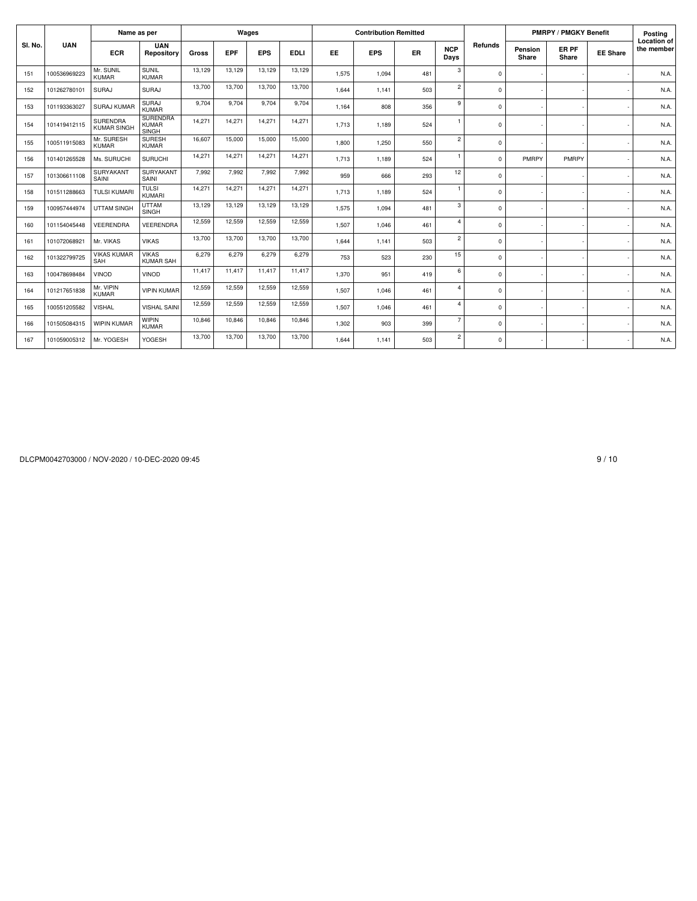|         |              | Name as per                           |                                          |        |            | Wages      |             |           | <b>Contribution Remitted</b> |     |                    |             |                  | <b>PMRPY / PMGKY Benefit</b> |                 | Posting                          |
|---------|--------------|---------------------------------------|------------------------------------------|--------|------------|------------|-------------|-----------|------------------------------|-----|--------------------|-------------|------------------|------------------------------|-----------------|----------------------------------|
| SI. No. | <b>UAN</b>   | <b>ECR</b>                            | <b>UAN</b><br>Repository                 | Gross  | <b>EPF</b> | <b>EPS</b> | <b>EDLI</b> | <b>EE</b> | <b>EPS</b>                   | ER  | <b>NCP</b><br>Days | Refunds     | Pension<br>Share | ER PF<br>Share               | <b>EE Share</b> | <b>Location of</b><br>the member |
| 151     | 100536969223 | Mr. SUNIL<br><b>KUMAR</b>             | SUNIL<br><b>KUMAR</b>                    | 13,129 | 13.129     | 13.129     | 13.129      | 1.575     | 1,094                        | 481 | 3                  | $\Omega$    |                  |                              |                 | N.A.                             |
| 152     | 101262780101 | SURAJ                                 | <b>SURAJ</b>                             | 13,700 | 13,700     | 13,700     | 13,700      | 1,644     | 1,141                        | 503 | $\overline{2}$     | $\Omega$    |                  |                              |                 | N.A.                             |
| 153     | 101193363027 | <b>SURAJ KUMAR</b>                    | SURAJ<br><b>KUMAR</b>                    | 9,704  | 9,704      | 9,704      | 9,704       | 1,164     | 808                          | 356 | 9                  | $\Omega$    |                  |                              |                 | N.A.                             |
| 154     | 101419412115 | <b>SURENDRA</b><br><b>KUMAR SINGH</b> | <b>SURENDRA</b><br><b>KUMAR</b><br>SINGH | 14.271 | 14.271     | 14.271     | 14.271      | 1.713     | 1,189                        | 524 | 1                  | $\Omega$    |                  |                              |                 | N.A.                             |
| 155     | 100511915083 | Mr. SURESH<br><b>KUMAR</b>            | <b>SURESH</b><br><b>KUMAR</b>            | 16,607 | 15,000     | 15,000     | 15,000      | 1,800     | 1,250                        | 550 | $\overline{2}$     | $\Omega$    |                  |                              |                 | N.A.                             |
| 156     | 101401265528 | Ms. SURUCHI                           | <b>SURUCHI</b>                           | 14,271 | 14,271     | 14,271     | 14,271      | 1.713     | 1.189                        | 524 |                    | $\Omega$    | PMRPY            | PMRPY                        |                 | N.A.                             |
| 157     | 101306611108 | SURYAKANT<br>SAINI                    | SURYAKANT<br>SAINI                       | 7,992  | 7,992      | 7,992      | 7,992       | 959       | 666                          | 293 | 12                 | $\mathbf 0$ |                  |                              |                 | N.A.                             |
| 158     | 101511288663 | <b>TULSI KUMAR</b>                    | <b>TULSI</b><br><b>KUMARI</b>            | 14,271 | 14,271     | 14,271     | 14,271      | 1,713     | 1,189                        | 524 | $\mathbf{1}$       | $\Omega$    |                  |                              |                 | N.A.                             |
| 159     | 100957444974 | <b>UTTAM SINGH</b>                    | <b>UTTAM</b><br><b>SINGH</b>             | 13,129 | 13.129     | 13.129     | 13,129      | 1,575     | 1,094                        | 481 | 3                  | $\Omega$    |                  |                              |                 | N.A.                             |
| 160     | 101154045448 | VEERENDRA                             | VEERENDRA                                | 12,559 | 12,559     | 12,559     | 12,559      | 1.507     | 1.046                        | 461 | $\overline{a}$     | $\mathbf 0$ |                  |                              |                 | N.A.                             |
| 161     | 101072068921 | Mr. VIKAS                             | <b>VIKAS</b>                             | 13,700 | 13,700     | 13,700     | 13,700      | 1.644     | 1.141                        | 503 | $\overline{2}$     | $\mathbf 0$ |                  |                              |                 | N.A                              |
| 162     | 101322799725 | <b>VIKAS KUMAR</b><br>SAH             | <b>VIKAS</b><br><b>KUMAR SAH</b>         | 6.279  | 6.279      | 6.279      | 6.279       | 753       | 523                          | 230 | 15                 | $\Omega$    |                  |                              |                 | N.A.                             |
| 163     | 100478698484 | <b>VINOD</b>                          | <b>VINOD</b>                             | 11.417 | 11,417     | 11,417     | 11.417      | 1,370     | 951                          | 419 | 6                  | $\Omega$    |                  |                              |                 | N.A.                             |
| 164     | 101217651838 | Mr. VIPIN<br><b>KUMAR</b>             | <b>VIPIN KUMAR</b>                       | 12,559 | 12,559     | 12,559     | 12,559      | 1,507     | 1,046                        | 461 | $\overline{a}$     | $\Omega$    |                  |                              |                 | N.A.                             |
| 165     | 100551205582 | <b>VISHAL</b>                         | <b>VISHAL SAINI</b>                      | 12,559 | 12,559     | 12,559     | 12,559      | 1,507     | 1,046                        | 461 | $\overline{a}$     | $\Omega$    |                  |                              |                 | N.A.                             |
| 166     | 101505084315 | <b>WIPIN KUMAR</b>                    | <b>WIPIN</b><br><b>KUMAR</b>             | 10,846 | 10,846     | 10,846     | 10,846      | 1,302     | 903                          | 399 | $\overline{7}$     | $\mathbf 0$ |                  |                              |                 | N.A.                             |
| 167     | 101059005312 | Mr. YOGESH                            | YOGESH                                   | 13,700 | 13,700     | 13,700     | 13,700      | 1.644     | 1.141                        | 503 | $\overline{2}$     | $\mathbf 0$ |                  |                              |                 | N.A.                             |

DLCPM0042703000 / NOV-2020 / 10-DEC-2020 09:45 9 / 10